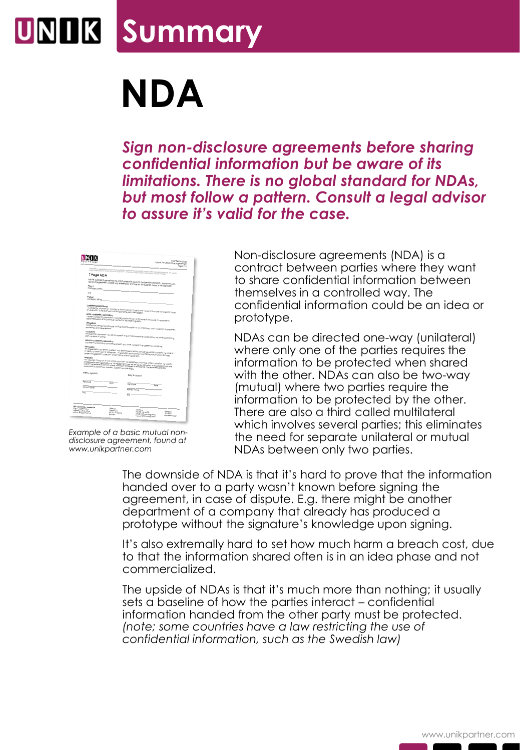## **Summary**

## **NDA**

*Sign non-disclosure agreements before sharing confidential information but be aware of its limitations. There is no global standard for NDAs, but most follow a pattern. Consult a legal advisor to assure it's valid for the case.*

|                                                                                                |                                                   | <b>UNK Technology</b><br>Mutual Non-Dission.re Agreement<br>Page: 1/1                                                                                                                                                                                                                                              |
|------------------------------------------------------------------------------------------------|---------------------------------------------------|--------------------------------------------------------------------------------------------------------------------------------------------------------------------------------------------------------------------------------------------------------------------------------------------------------------------|
|                                                                                                |                                                   |                                                                                                                                                                                                                                                                                                                    |
| 1 Page NDA                                                                                     |                                                   | 1 Page MA is an example of a basic reduct our distinctive Agreement that the first formulation class characterized the most to reach the country of the most to a state of the most to                                                                                                                             |
| Paty 1:<br>company name:                                                                       |                                                   | For the purpose of preventing the uncurranteed distitours of confidential information, this mutual non-<br>distosure agreement is mode and entread into as of the tart date signed below by and between                                                                                                            |
| on a                                                                                           |                                                   |                                                                                                                                                                                                                                                                                                                    |
| Party &<br>Company name:                                                                       |                                                   |                                                                                                                                                                                                                                                                                                                    |
| Confidential Information                                                                       |                                                   |                                                                                                                                                                                                                                                                                                                    |
|                                                                                                |                                                   | Configurita information" inquigas as information or manerial that this or could have commercial value<br>or other usery in the business in which discipancy gramy is engaged.                                                                                                                                      |
| None-Confidential Information                                                                  |                                                   |                                                                                                                                                                                                                                                                                                                    |
| becomes publicly shown through no four of the receiving party.                                 |                                                   | mone Configential information, includes publicly engine at the time of discourse or subsequently                                                                                                                                                                                                                   |
| Obligations<br>outnotifes, and organizations.                                                  |                                                   | uses of the parles may discuse configentia information to any third party. Juch as persons, componies.                                                                                                                                                                                                             |
| Enceptions                                                                                     |                                                   | Confidentia information may be discused if one of the contracting parties alows the citier contracting                                                                                                                                                                                                             |
| <b>Refurn of confidential information</b>                                                      |                                                   | Configured Information and be returned if any of the parties to the agreement so require.                                                                                                                                                                                                                          |
| terrésolion<br>under mis agreement shall survive termination of this agreement.                |                                                   | this agreement shockers sin affect until terminated by elimer party gluing valities notice to the other of<br>It deals to terminate this agreement. The requirement to protect configential information discosed                                                                                                   |
| Aftikalise<br>conducted in trockhom, brieder, briedlin low that apply.                         |                                                   | Any discults arizing out of or in connection with this Agreement, including without insistion the validity.<br>nte vention and application of the Agreement and be seried by distinction in accordance with the<br>fulled the application include of the Discanonic phomper of commerce. The architection shall be |
| Pafy A signerory                                                                               |                                                   | raty a signator.                                                                                                                                                                                                                                                                                                   |
| Signonune                                                                                      | Done                                              | <b>Sgranure</b>                                                                                                                                                                                                                                                                                                    |
| <b>Printed Norme</b>                                                                           |                                                   | Dote<br><b>Anneo</b> Name                                                                                                                                                                                                                                                                                          |
| $\overline{\phantom{a}}$                                                                       |                                                   | $\overline{\text{tr}}$                                                                                                                                                                                                                                                                                             |
|                                                                                                |                                                   |                                                                                                                                                                                                                                                                                                                    |
| (NK Technology Sweden AB)<br>Og.w. Matthesis<br>Formasc o Fritt cord<br>UKLM: 08 SEAFT7467.421 | Atdress<br>Karleng 14<br><b>15-721 PB Kitaing</b> | Contact<br>TAL 70 - 35 44 PPP<br><b>WANT</b>                                                                                                                                                                                                                                                                       |

*Example of a basic mutual nondisclosure agreement, found at www.unikpartner.com* 

Non-disclosure agreements (NDA) is a contract between parties where they want to share confidential information between themselves in a controlled way. The confidential information could be an idea or prototype.

NDAs can be directed one-way (unilateral) where only one of the parties requires the information to be protected when shared with the other. NDAs can also be two-way (mutual) where two parties require the information to be protected by the other. There are also a third called multilateral which involves several parties; this eliminates the need for separate unilateral or mutual NDAs between only two parties.

The downside of NDA is that it's hard to prove that the information handed over to a party wasn't known before signing the agreement, in case of dispute. E.g. there might be another department of a company that already has produced a prototype without the signature's knowledge upon signing.

It's also extremally hard to set how much harm a breach cost, due to that the information shared often is in an idea phase and not commercialized.

The upside of NDAs is that it's much more than nothing; it usually sets a baseline of how the parties interact – confidential information handed from the other party must be protected. *(note; some countries have a law restricting the use of confidential information, such as the Swedish law)*